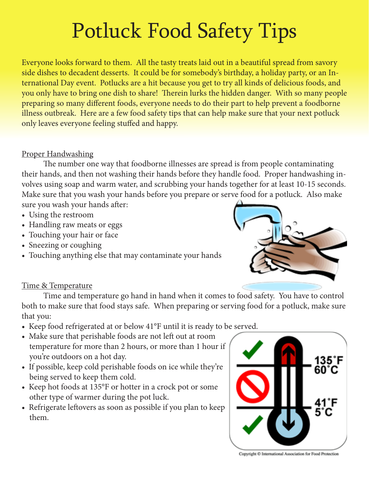# Potluck Food Safety Tips

Everyone looks forward to them. All the tasty treats laid out in a beautiful spread from savory side dishes to decadent desserts. It could be for somebody's birthday, a holiday party, or an International Day event. Potlucks are a hit because you get to try all kinds of delicious foods, and you only have to bring one dish to share! Therein lurks the hidden danger. With so many people preparing so many different foods, everyone needs to do their part to help prevent a foodborne illness outbreak. Here are a few food safety tips that can help make sure that your next potluck only leaves everyone feeling stuffed and happy.

## Proper Handwashing

The number one way that foodborne illnesses are spread is from people contaminating their hands, and then not washing their hands before they handle food. Proper handwashing involves using soap and warm water, and scrubbing your hands together for at least 10-15 seconds. Make sure that you wash your hands before you prepare or serve food for a potluck. Also make sure you wash your hands after:

- Using the restroom
- Handling raw meats or eggs
- Touching your hair or face
- Sneezing or coughing
- Touching anything else that may contaminate your hands



# Time & Temperature

Time and temperature go hand in hand when it comes to food safety. You have to control both to make sure that food stays safe. When preparing or serving food for a potluck, make sure that you:

- Keep food refrigerated at or below 41°F until it is ready to be served.
- Make sure that perishable foods are not left out at room temperature for more than 2 hours, or more than 1 hour if you're outdoors on a hot day.
- If possible, keep cold perishable foods on ice while they're being served to keep them cold.
- Keep hot foods at 135°F or hotter in a crock pot or some other type of warmer during the pot luck.
- Refrigerate leftovers as soon as possible if you plan to keep them.



Copyright C International Association for Food Protection